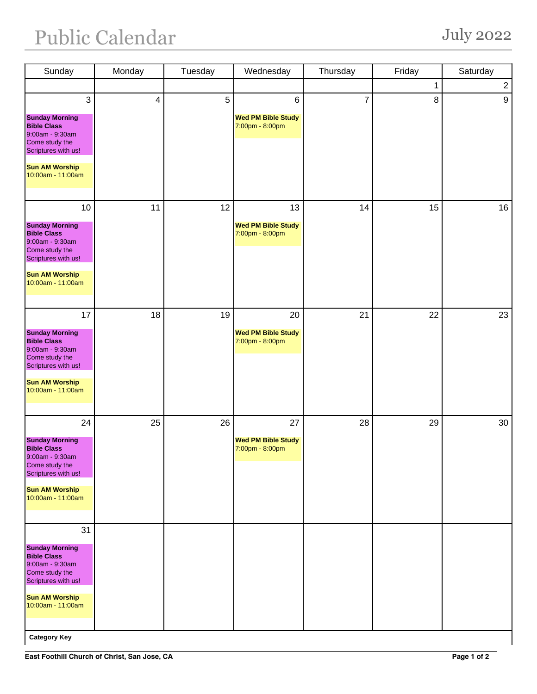## Public Calendar July 2022

| Sunday                                                                                                                                                      | Monday                   | Tuesday | Wednesday                                          | Thursday       | Friday | Saturday       |
|-------------------------------------------------------------------------------------------------------------------------------------------------------------|--------------------------|---------|----------------------------------------------------|----------------|--------|----------------|
|                                                                                                                                                             |                          |         |                                                    |                | 1      | $\overline{2}$ |
| 3<br><b>Sunday Morning</b><br><b>Bible Class</b><br>9:00am - 9:30am<br>Come study the<br>Scriptures with us!                                                | $\overline{\mathcal{A}}$ | 5       | 6<br><b>Wed PM Bible Study</b><br>7:00pm - 8:00pm  | $\overline{7}$ | 8      | 9              |
| <b>Sun AM Worship</b><br>10:00am - 11:00am                                                                                                                  |                          |         |                                                    |                |        |                |
| 10                                                                                                                                                          | 11                       | 12      | 13                                                 | 14             | 15     | 16             |
| <b>Sunday Morning</b><br><b>Bible Class</b><br>9:00am - 9:30am<br>Come study the<br>Scriptures with us!<br><b>Sun AM Worship</b><br>10:00am - 11:00am       |                          |         | <b>Wed PM Bible Study</b><br>7:00pm - 8:00pm       |                |        |                |
|                                                                                                                                                             |                          |         |                                                    |                |        |                |
| 17<br><b>Sunday Morning</b><br><b>Bible Class</b><br>9:00am - 9:30am<br>Come study the<br>Scriptures with us!                                               | 18                       | 19      | 20<br><b>Wed PM Bible Study</b><br>7:00pm - 8:00pm | 21             | 22     | 23             |
| <b>Sun AM Worship</b><br>10:00am - 11:00am                                                                                                                  |                          |         |                                                    |                |        |                |
| 24                                                                                                                                                          | 25                       | 26      | 27                                                 | 28             | 29     | 30             |
| <b>Sunday Morning</b><br><b>Bible Class</b><br>$9:00$ am - $9:30$ am<br>Come study the<br>Scriptures with us!<br><b>Sun AM Worship</b><br>10:00am - 11:00am |                          |         | <b>Wed PM Bible Study</b><br>7:00pm - 8:00pm       |                |        |                |
| 31                                                                                                                                                          |                          |         |                                                    |                |        |                |
| <b>Sunday Morning</b><br><b>Bible Class</b><br>9:00am - 9:30am<br>Come study the<br>Scriptures with us!<br><b>Sun AM Worship</b><br>10:00am - 11:00am       |                          |         |                                                    |                |        |                |
|                                                                                                                                                             |                          |         |                                                    |                |        |                |

**Category Key**